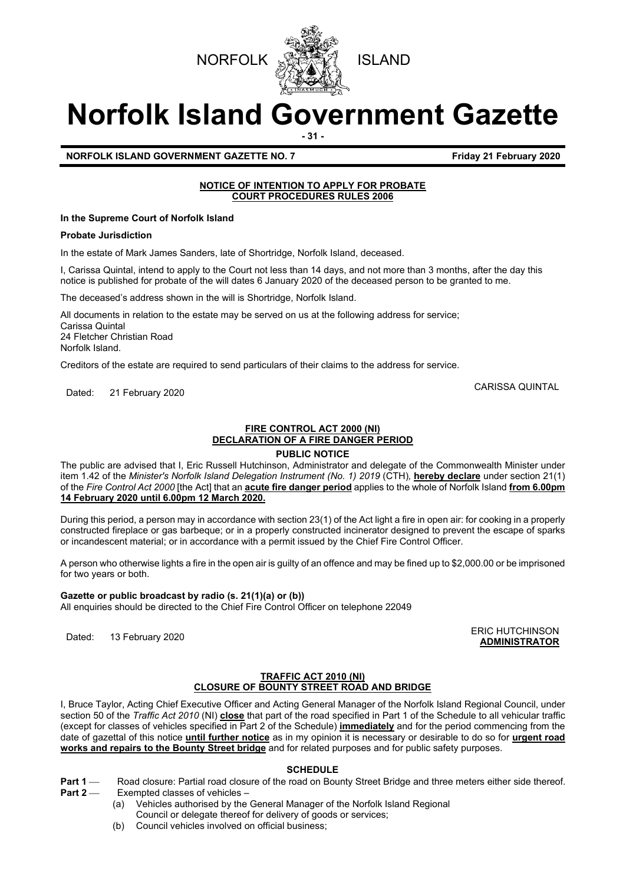



# **Norfolk Island Government Gazette**

**- 31 -**

**NORFOLK ISLAND GOVERNMENT GAZETTE NO. 7 Example 2020 Friday 21 February 2020** 

#### **NOTICE OF INTENTION TO APPLY FOR PROBATE COURT PROCEDURES RULES 2006**

**In the Supreme Court of Norfolk Island**

#### **Probate Jurisdiction**

In the estate of Mark James Sanders, late of Shortridge, Norfolk Island, deceased.

I, Carissa Quintal, intend to apply to the Court not less than 14 days, and not more than 3 months, after the day this notice is published for probate of the will dates 6 January 2020 of the deceased person to be granted to me.

The deceased's address shown in the will is Shortridge, Norfolk Island.

All documents in relation to the estate may be served on us at the following address for service; Carissa Quintal 24 Fletcher Christian Road Norfolk Island.

Creditors of the estate are required to send particulars of their claims to the address for service.

Dated: 21 February 2020 CARISSA QUINTAL

#### **FIRE CONTROL ACT 2000 (NI) DECLARATION OF A FIRE DANGER PERIOD**

#### **PUBLIC NOTICE**

The public are advised that I, Eric Russell Hutchinson, Administrator and delegate of the Commonwealth Minister under item 1.42 of the *Minister's Norfolk Island Delegation Instrument (No. 1) 2019* (CTH)*,* **hereby declare** under section 21(1) of the *Fire Control Act 2000* [the Act] that an **acute fire danger period** applies to the whole of Norfolk Island **from 6.00pm 14 February 2020 until 6.00pm 12 March 2020.**

During this period, a person may in accordance with section 23(1) of the Act light a fire in open air: for cooking in a properly constructed fireplace or gas barbeque; or in a properly constructed incinerator designed to prevent the escape of sparks or incandescent material; or in accordance with a permit issued by the Chief Fire Control Officer.

A person who otherwise lights a fire in the open air is guilty of an offence and may be fined up to \$2,000.00 or be imprisoned for two years or both.

#### **Gazette or public broadcast by radio (s. 21(1)(a) or (b))**

All enquiries should be directed to the Chief Fire Control Officer on telephone 22049

ERIC HUTCHINSON<br>Dated: 13 February 2020 **ADMINISTRATOR**

#### **TRAFFIC ACT 2010 (NI) CLOSURE OF BOUNTY STREET ROAD AND BRIDGE**

I, Bruce Taylor, Acting Chief Executive Officer and Acting General Manager of the Norfolk Island Regional Council, under section 50 of the *Traffic Act 2010* (NI) **close** that part of the road specified in Part 1 of the Schedule to all vehicular traffic (except for classes of vehicles specified in Part 2 of the Schedule) **immediately** and for the period commencing from the date of gazettal of this notice **until further notice** as in my opinion it is necessary or desirable to do so for **urgent road works and repairs to the Bounty Street bridge** and for related purposes and for public safety purposes.

#### **SCHEDULE**

- **Part 1** Road closure: Partial road closure of the road on Bounty Street Bridge and three meters either side thereof. **Part 2** Exempted classes of vehicles –
	- (a) Vehicles authorised by the General Manager of the Norfolk Island Regional
		- Council or delegate thereof for delivery of goods or services;
		- (b) Council vehicles involved on official business;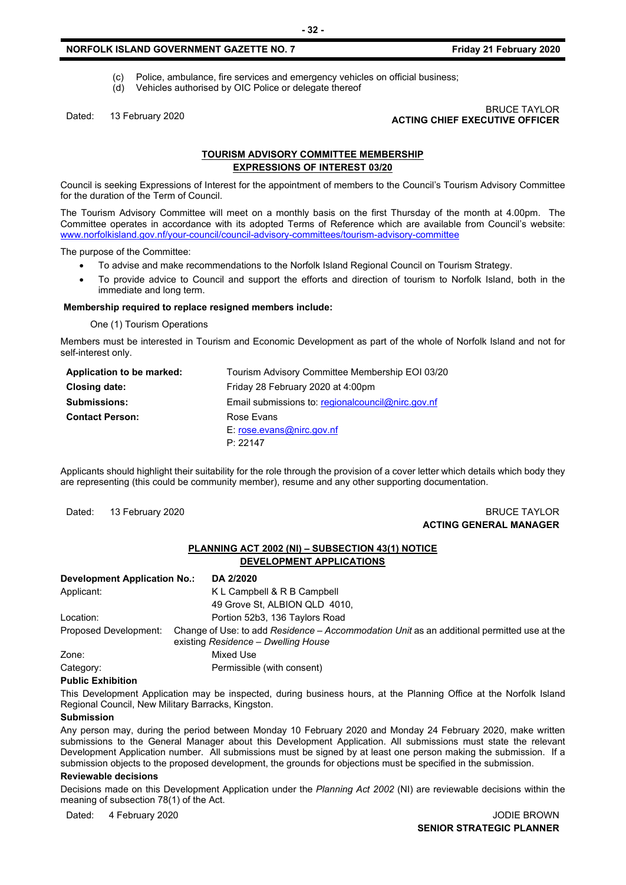#### **NORFOLK ISLAND GOVERNMENT GAZETTE NO. 7** *CONTRETE 10. 7* **<b>Friday 21 February 2020**

- (c) Police, ambulance, fire services and emergency vehicles on official business;<br>(d) Vehicles authorised by OIC Police or delegate thereof
- Vehicles authorised by OIC Police or delegate thereof

## Dated: 13 February 2020 BRUCE TAYLOR **ACTING CHIEF EXECUTIVE OFFICER**

#### **TOURISM ADVISORY COMMITTEE MEMBERSHIP EXPRESSIONS OF INTEREST 03/20**

Council is seeking Expressions of Interest for the appointment of members to the Council's Tourism Advisory Committee for the duration of the Term of Council.

The Tourism Advisory Committee will meet on a monthly basis on the first Thursday of the month at 4.00pm. The Committee operates in accordance with its adopted Terms of Reference which are available from Council's website: [www.norfolkisland.gov.nf/your-council/council-advisory-committees/tourism-advisory-committee](http://www.norfolkisland.gov.nf/your-council/council-advisory-committees/tourism-advisory-committee)

The purpose of the Committee:

- To advise and make recommendations to the Norfolk Island Regional Council on Tourism Strategy.
- To provide advice to Council and support the efforts and direction of tourism to Norfolk Island, both in the immediate and long term.

#### **Membership required to replace resigned members include:**

One (1) Tourism Operations

Members must be interested in Tourism and Economic Development as part of the whole of Norfolk Island and not for self-interest only.

| Application to be marked: | Tourism Advisory Committee Membership EOI 03/20     |  |  |
|---------------------------|-----------------------------------------------------|--|--|
| Closing date:             | Friday 28 February 2020 at 4:00pm                   |  |  |
| <b>Submissions:</b>       | Email submissions to: regional council @nirc.gov.nf |  |  |
| <b>Contact Person:</b>    | Rose Evans                                          |  |  |
|                           | $E:$ rose.evans@nirc.gov.nf                         |  |  |
|                           | P: 22147                                            |  |  |

Applicants should highlight their suitability for the role through the provision of a cover letter which details which body they are representing (this could be community member), resume and any other supporting documentation.

#### Dated: 13 February 2020 **BRUCE TAYLOR ACTING GENERAL MANAGER**

#### **PLANNING ACT 2002 (NI) – SUBSECTION 43(1) NOTICE DEVELOPMENT APPLICATIONS**

| <b>Development Application No.:</b> | DA 2/2020                                                                                                                         |  |
|-------------------------------------|-----------------------------------------------------------------------------------------------------------------------------------|--|
| Applicant:                          | K L Campbell & R B Campbell                                                                                                       |  |
|                                     | 49 Grove St, ALBION QLD 4010,                                                                                                     |  |
| Location:                           | Portion 52b3, 136 Taylors Road                                                                                                    |  |
| Proposed Development:               | Change of Use: to add Residence – Accommodation Unit as an additional permitted use at the<br>existing Residence - Dwelling House |  |
| Zone:                               | Mixed Use                                                                                                                         |  |
| Category:                           | Permissible (with consent)                                                                                                        |  |

#### **Public Exhibition**

This Development Application may be inspected, during business hours, at the Planning Office at the Norfolk Island Regional Council, New Military Barracks, Kingston.

#### **Submission**

Any person may, during the period between Monday 10 February 2020 and Monday 24 February 2020, make written submissions to the General Manager about this Development Application. All submissions must state the relevant Development Application number. All submissions must be signed by at least one person making the submission. If a submission objects to the proposed development, the grounds for objections must be specified in the submission.

#### **Reviewable decisions**

Decisions made on this Development Application under the *Planning Act 2002* (NI) are reviewable decisions within the meaning of subsection 78(1) of the Act.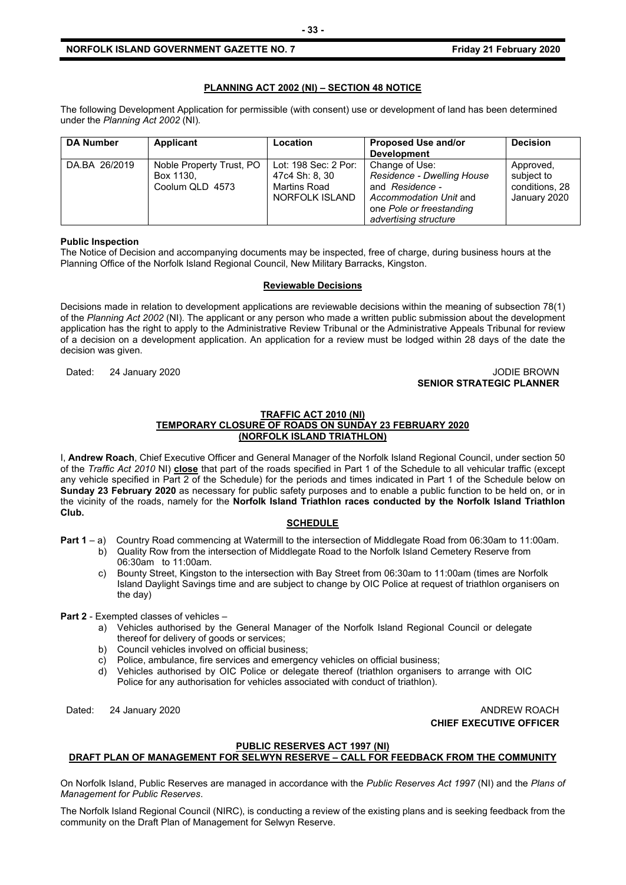#### **NORFOLK ISLAND GOVERNMENT GAZETTE NO. 7 Example 2020 Friday 21 February 2020**

#### **PLANNING ACT 2002 (NI) – SECTION 48 NOTICE**

The following Development Application for permissible (with consent) use or development of land has been determined under the *Planning Act 2002* (NI)*.*

| <b>DA Number</b> | <b>Applicant</b>                                         | Location                                                                 | Proposed Use and/or<br><b>Development</b>                                                                                                      | <b>Decision</b>                                           |
|------------------|----------------------------------------------------------|--------------------------------------------------------------------------|------------------------------------------------------------------------------------------------------------------------------------------------|-----------------------------------------------------------|
| DA.BA 26/2019    | Noble Property Trust, PO<br>Box 1130.<br>Coolum QLD 4573 | Lot: 198 Sec: 2 Por:<br>47c4 Sh: 8, 30<br>Martins Road<br>NORFOLK ISLAND | Change of Use:<br>Residence - Dwelling House<br>and Residence -<br>Accommodation Unit and<br>one Pole or freestanding<br>advertising structure | Approved,<br>subject to<br>conditions, 28<br>January 2020 |

#### **Public Inspection**

The Notice of Decision and accompanying documents may be inspected, free of charge, during business hours at the Planning Office of the Norfolk Island Regional Council, New Military Barracks, Kingston.

#### **Reviewable Decisions**

Decisions made in relation to development applications are reviewable decisions within the meaning of subsection 78(1) of the *Planning Act 2002* (NI)*.* The applicant or any person who made a written public submission about the development application has the right to apply to the Administrative Review Tribunal or the Administrative Appeals Tribunal for review of a decision on a development application. An application for a review must be lodged within 28 days of the date the decision was given.

Dated: 24 January 2020 **Dates: 24 January 2020** 

## **SENIOR STRATEGIC PLANNER**

#### **TRAFFIC ACT 2010 (NI) TEMPORARY CLOSURE OF ROADS ON SUNDAY 23 FEBRUARY 2020 (NORFOLK ISLAND TRIATHLON)**

I, **Andrew Roach**, Chief Executive Officer and General Manager of the Norfolk Island Regional Council, under section 50 of the *Traffic Act 2010* NI) **close** that part of the roads specified in Part 1 of the Schedule to all vehicular traffic (except any vehicle specified in Part 2 of the Schedule) for the periods and times indicated in Part 1 of the Schedule below on **Sunday 23 February 2020** as necessary for public safety purposes and to enable a public function to be held on, or in the vicinity of the roads, namely for the **Norfolk Island Triathlon races conducted by the Norfolk Island Triathlon Club.**

#### **SCHEDULE**

- **Part 1** a) Country Road commencing at Watermill to the intersection of Middlegate Road from 06:30am to 11:00am.
	- b) Quality Row from the intersection of Middlegate Road to the Norfolk Island Cemetery Reserve from 06:30am to 11:00am.
	- c) Bounty Street, Kingston to the intersection with Bay Street from 06:30am to 11:00am (times are Norfolk Island Daylight Savings time and are subject to change by OIC Police at request of triathlon organisers on the day)

#### **Part 2** - Exempted classes of vehicles –

- a) Vehicles authorised by the General Manager of the Norfolk Island Regional Council or delegate thereof for delivery of goods or services;
- b) Council vehicles involved on official business;
- c) Police, ambulance, fire services and emergency vehicles on official business;
- d) Vehicles authorised by OIC Police or delegate thereof (triathlon organisers to arrange with OIC Police for any authorisation for vehicles associated with conduct of triathlon).

Dated: 24 January 2020 **ANDREW ROACH CHIEF EXECUTIVE OFFICER**

#### **PUBLIC RESERVES ACT 1997 (NI)**

#### **DRAFT PLAN OF MANAGEMENT FOR SELWYN RESERVE – CALL FOR FEEDBACK FROM THE COMMUNITY**

On Norfolk Island, Public Reserves are managed in accordance with the *Public Reserves Act 1997* (NI) and the *Plans of Management for Public Reserves*.

The Norfolk Island Regional Council (NIRC), is conducting a review of the existing plans and is seeking feedback from the community on the Draft Plan of Management for Selwyn Reserve.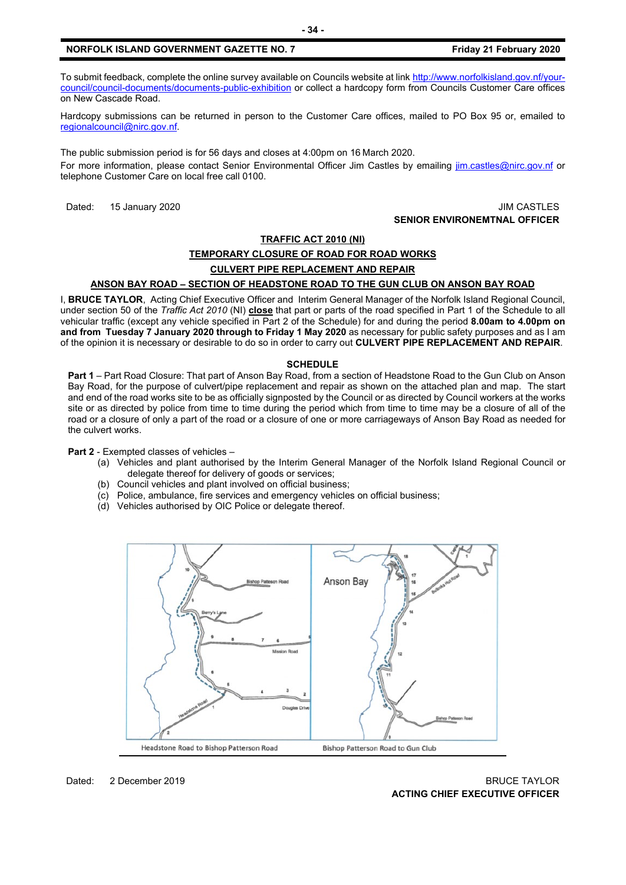#### **NORFOLK ISLAND GOVERNMENT GAZETTE NO. 7 Friday 21 February 2020**

To submit feedback, complete the online survey available on Councils website at link [http://www.norfolkisland.gov.nf/your](http://www.norfolkisland.gov.nf/your-council/council-documents/documents-public-exhibition)[council/council-documents/documents-public-exhibition](http://www.norfolkisland.gov.nf/your-council/council-documents/documents-public-exhibition) or collect a hardcopy form from Councils Customer Care offices on New Cascade Road.

Hardcopy submissions can be returned in person to the Customer Care offices, mailed to PO Box 95 or, emailed to [regionalcouncil@nirc.gov.nf.](mailto:regionalcouncil@nirc.gov.nf)

The public submission period is for 56 days and closes at 4:00pm on 16 March 2020. For more information, please contact Senior Environmental Officer Jim Castles by emailing *jim.castles@nirc.gov.nf* or telephone Customer Care on local free call 0100.

#### Dated: 15 January 2020 **JIM CASTLES SENIOR ENVIRONEMTNAL OFFICER**

### **TRAFFIC ACT 2010 (NI) TEMPORARY CLOSURE OF ROAD FOR ROAD WORKS CULVERT PIPE REPLACEMENT AND REPAIR**

#### **ANSON BAY ROAD – SECTION OF HEADSTONE ROAD TO THE GUN CLUB ON ANSON BAY ROAD**

I, **BRUCE TAYLOR**, Acting Chief Executive Officer and Interim General Manager of the Norfolk Island Regional Council, under section 50 of the *Traffic Act 2010* (NI) **close** that part or parts of the road specified in Part 1 of the Schedule to all vehicular traffic (except any vehicle specified in Part 2 of the Schedule) for and during the period **8.00am to 4.00pm on and from Tuesday 7 January 2020 through to Friday 1 May 2020** as necessary for public safety purposes and as I am of the opinion it is necessary or desirable to do so in order to carry out **CULVERT PIPE REPLACEMENT AND REPAIR**.

#### **SCHEDULE**

**Part 1** – Part Road Closure: That part of Anson Bay Road, from a section of Headstone Road to the Gun Club on Anson Bay Road, for the purpose of culvert/pipe replacement and repair as shown on the attached plan and map. The start and end of the road works site to be as officially signposted by the Council or as directed by Council workers at the works site or as directed by police from time to time during the period which from time to time may be a closure of all of the road or a closure of only a part of the road or a closure of one or more carriageways of Anson Bay Road as needed for the culvert works.

**Part 2** - Exempted classes of vehicles –

- (a) Vehicles and plant authorised by the Interim General Manager of the Norfolk Island Regional Council or delegate thereof for delivery of goods or services;
- (b) Council vehicles and plant involved on official business;
- (c) Police, ambulance, fire services and emergency vehicles on official business;
- (d) Vehicles authorised by OIC Police or delegate thereof.

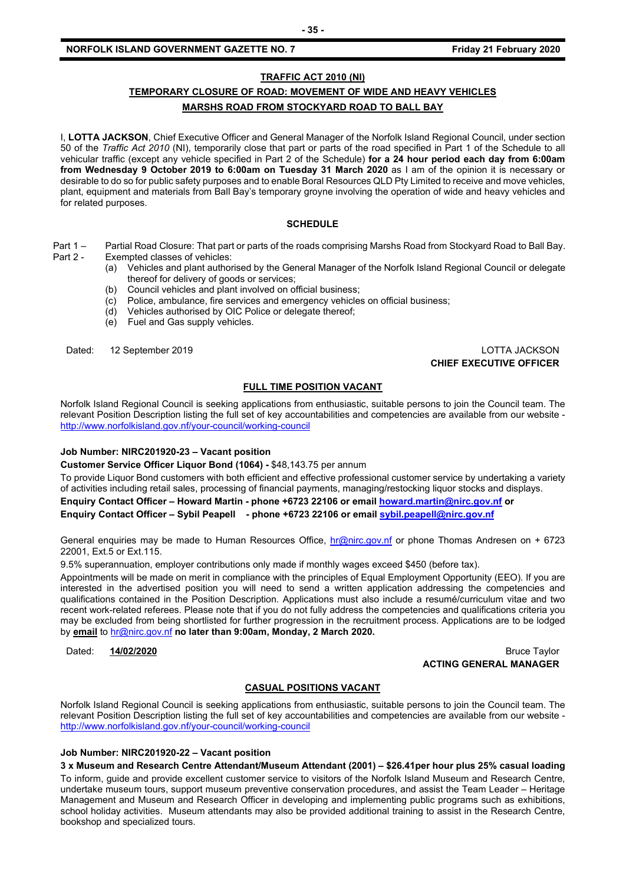#### **NORFOLK ISLAND GOVERNMENT GAZETTE NO. 7 Example 2020 Friday 21 February 2020**

#### **TRAFFIC ACT 2010 (NI)**

### **TEMPORARY CLOSURE OF ROAD: MOVEMENT OF WIDE AND HEAVY VEHICLES MARSHS ROAD FROM STOCKYARD ROAD TO BALL BAY**

I, **LOTTA JACKSON**, Chief Executive Officer and General Manager of the Norfolk Island Regional Council, under section 50 of the *Traffic Act 2010* (NI), temporarily close that part or parts of the road specified in Part 1 of the Schedule to all vehicular traffic (except any vehicle specified in Part 2 of the Schedule) **for a 24 hour period each day from 6:00am from Wednesday 9 October 2019 to 6:00am on Tuesday 31 March 2020** as I am of the opinion it is necessary or desirable to do so for public safety purposes and to enable Boral Resources QLD Pty Limited to receive and move vehicles, plant, equipment and materials from Ball Bay's temporary groyne involving the operation of wide and heavy vehicles and for related purposes.

#### **SCHEDULE**

- Part 1 Partial Road Closure: That part or parts of the roads comprising Marshs Road from Stockyard Road to Ball Bay.<br>Part 2 Exempted classes of vehicles: Exempted classes of vehicles:
	- (a) Vehicles and plant authorised by the General Manager of the Norfolk Island Regional Council or delegate thereof for delivery of goods or services;
	- (b) Council vehicles and plant involved on official business;
	- (c) Police, ambulance, fire services and emergency vehicles on official business;
	- (d) Vehicles authorised by OIC Police or delegate thereof;
	- (e) Fuel and Gas supply vehicles.

Dated: 12 September 2019 LOTTA JACKSON **CHIEF EXECUTIVE OFFICER**

#### **FULL TIME POSITION VACANT**

Norfolk Island Regional Council is seeking applications from enthusiastic, suitable persons to join the Council team. The relevant Position Description listing the full set of key accountabilities and competencies are available from our website <http://www.norfolkisland.gov.nf/your-council/working-council>

#### **Job Number: NIRC201920-23 – Vacant position**

**Customer Service Officer Liquor Bond (1064) -** \$48,143.75 per annum

To provide Liquor Bond customers with both efficient and effective professional customer service by undertaking a variety of activities including retail sales, processing of financial payments, managing/restocking liquor stocks and displays.

**Enquiry Contact Officer – Howard Martin - phone +6723 22106 or email [howard.martin@nirc.gov.nf](mailto:howard.martin@nirc.gov.nf) or**

**Enquiry Contact Officer – Sybil Peapell - phone +6723 22106 or emai[l sybil.peapell@nirc.gov.nf](mailto:sybil.peapell@nirc.gov.nf)**

General enquiries may be made to Human Resources Office, [hr@nirc.gov.nf](mailto:hr@nirc.gov.nf) or phone Thomas Andresen on + 6723 22001, Ext.5 or Ext.115.

9.5% superannuation, employer contributions only made if monthly wages exceed \$450 (before tax).

Appointments will be made on merit in compliance with the principles of Equal Employment Opportunity (EEO). If you are interested in the advertised position you will need to send a written application addressing the competencies and qualifications contained in the Position Description. Applications must also include a resumé/curriculum vitae and two recent work-related referees. Please note that if you do not fully address the competencies and qualifications criteria you may be excluded from being shortlisted for further progression in the recruitment process. Applications are to be lodged by **email** to [hr@nirc.gov.nf](mailto:hr@nirc.gov.nf) **no later than 9:00am, Monday, 2 March 2020.** 

Dated: **14/02/2020** Bruce Taylor **ACTING GENERAL MANAGER**

#### **CASUAL POSITIONS VACANT**

Norfolk Island Regional Council is seeking applications from enthusiastic, suitable persons to join the Council team. The relevant Position Description listing the full set of key accountabilities and competencies are available from our website <http://www.norfolkisland.gov.nf/your-council/working-council>

#### **Job Number: NIRC201920-22 – Vacant position**

**3 x Museum and Research Centre Attendant/Museum Attendant (2001) – \$26.41per hour plus 25% casual loading** To inform, guide and provide excellent customer service to visitors of the Norfolk Island Museum and Research Centre, undertake museum tours, support museum preventive conservation procedures, and assist the Team Leader – Heritage Management and Museum and Research Officer in developing and implementing public programs such as exhibitions, school holiday activities. Museum attendants may also be provided additional training to assist in the Research Centre, bookshop and specialized tours.